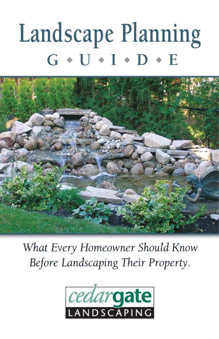# Landscape Planning  $G * U * I * D * E$



What Every Homeowner Should Know Before Landscaping Their Property.

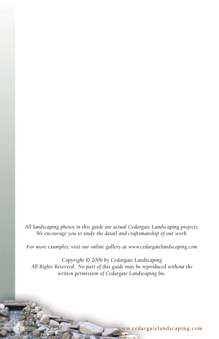*All landscaping photos in this guide are actual Cedargate Landscaping projects. We encourage you to study the detail and craftsmanship of our work.*

*For more examples, visit our online gallery at www.cedargatelandscaping.com*

*Copyright © 2006 by Cedargate Landscaping All Rights Reserved. No part of this guide may be reproduced without the written permission of Cedargate Landscaping Inc.*

2 www.ceda rga teland scaping.com ww.cedargatelandscaping.com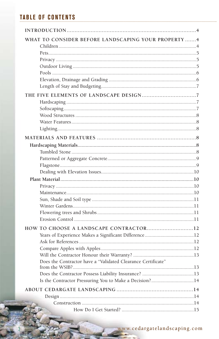# **TABLE OF CONTENTS**

| WHAT TO CONSIDER BEFORE LANDSCAPING YOUR PROPERTY 4          |  |
|--------------------------------------------------------------|--|
|                                                              |  |
|                                                              |  |
|                                                              |  |
|                                                              |  |
|                                                              |  |
|                                                              |  |
|                                                              |  |
|                                                              |  |
|                                                              |  |
|                                                              |  |
|                                                              |  |
|                                                              |  |
|                                                              |  |
|                                                              |  |
|                                                              |  |
|                                                              |  |
|                                                              |  |
|                                                              |  |
|                                                              |  |
|                                                              |  |
|                                                              |  |
|                                                              |  |
|                                                              |  |
|                                                              |  |
|                                                              |  |
|                                                              |  |
| HOW TO CHOOSE A LANDSCAPE CONTRACTOR12                       |  |
|                                                              |  |
|                                                              |  |
|                                                              |  |
|                                                              |  |
| Does the Contractor have a "Validated Clearance Certificate" |  |
|                                                              |  |
| Is the Contractor Pressuring You to Make a Decision?14       |  |
|                                                              |  |
|                                                              |  |
|                                                              |  |
|                                                              |  |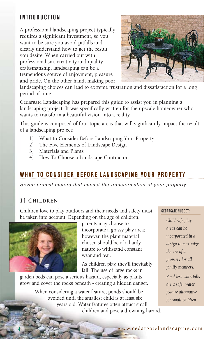# **INTRODUCTION**

A professional landscaping project typically requires a significant investment, so you want to be sure you avoid pitfalls and clearly understand how to get the result you desire. When carried out with professionalism, creativity and quality craftsmanship, landscaping can be a tremendous source of enjoyment, pleasure and pride. On the other hand, making poor



landscaping choices can lead to extreme frustration and dissatisfaction for a long period of time.

Cedargate Landscaping has prepared this guide to assist you in planning a landscaping project. It was specifically written for the upscale homeowner who wants to transform a beautiful vision into a reality.

This guide is composed of four topic areas that will significantly impact the result of a landscaping project:

- 1] What to Consider Before Landscaping Your Property
- 2] The Five Elements of Landscape Design
- 3] Materials and Plants
- 4] How To Choose a Landscape Contractor

# **WHAT TO CONSIDER BEFORE LANDSCAPING YOUR PROPERTY**

*Seven critical factors that impact the transformation of your property* 

## **1] CHILDREN**

Children love to play outdoors and their needs and safety must be taken into account. Depending on the age of children,



parents may choose to incorporate a grassy play area; however, the plant material chosen should be of a hardy nature to withstand constant wear and tear.

As children play, they'll inevitably fall. The use of large rocks in

garden beds can pose a serious hazard, especially as plants grow and cover the rocks beneath - creating a hidden danger.

> When considering a water feature, ponds should be avoided until the smallest child is at least six years old. Water features often attract small children and pose a drowning hazard.

#### CEDARGATE NUGGET:

*Child safe play areas can be incorporated in a design to maximize the use of a property for all family members. Pond-less waterfalls are a safer water feature alternative for small children.*

#### www.cedargatelandscaping.com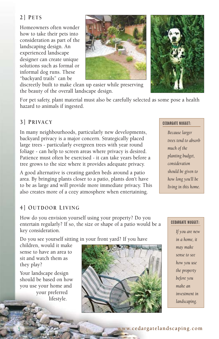### **2] PETS**

Homeowners often wonder how to take their pets into consideration as part of the landscaping design. An experienced landscape designer can create unique solutions such as formal or informal dog runs. These "backyard trails" can be



For pet safety, plant material must also be carefully selected as some pose a health hazard to animals if ingested.

#### **3] PRIVACY**

In many neighbourhoods, particularly new developments, backyard privacy is a major concern. Strategically placed large trees - particularly evergreen trees with year round foliage - can help to screen areas where privacy is desired. Patience must often be exercised - it can take years before a tree grows to the size where it provides adequate privacy.

A good alternative is creating garden beds around a patio area. By bringing plants closer to a patio, plants don't have to be as large and will provide more immediate privacy. This also creates more of a cozy atmosphere when entertaining.

#### **4] OUTDOOR LIVING**

How do you envision yourself using your property? Do you entertain regularly? If so, the size or shape of a patio would be a key consideration.

Do you see yourself sitting in your front yard? If you have

children, would it make sense to have an area to sit and watch them as they play?

Your landscape design should be based on how you use your home and your preferred lifestyle.



#### CEDARGATE NUGGET:

*Because larger trees tend to absorb much of the planting budget, consideration should be given to how long you'll be living in this home.*

#### CEDARGATE NUGGET:

*If you are new in a home, it may make sense to see how you use the property before you make an investment in landscaping.*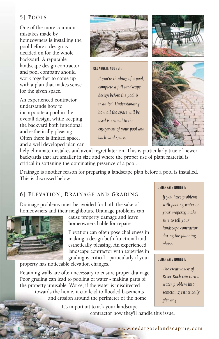#### **5] POOLS**

One of the more common mistakes made by homeowners is installing the pool before a design is decided on for the whole backyard. A reputable landscape design contractor and pool company should work together to come up with a plan that makes sense for the given space.

An experienced contractor understands how to incorporate a pool in the overall design, while keeping the backyard both functional and esthetically pleasing. Often there is limited space, and a well developed plan can



#### CEDARGATE NUGGET:

*If you're thinking of a pool, complete a full landscape design before the pool is installed. Understanding how all the space will be used is critical to the enjoyment of your pool and back yard space.*





help eliminate mistakes and avoid regret later on. This is particularly true of newer backyards that are smaller in size and where the proper use of plant material is critical in softening the dominating presence of a pool.

Drainage is another reason for preparing a landscape plan before a pool is installed. This is discussed below.

#### **6] ELEVATION, DRAINAGE AND GRADING**

Drainage problems must be avoided for both the sake of homeowners and their neighbours. Drainage problems can



cause property damage and leave homeowners liable for repairs.

Elevation can often pose challenges in making a design both functional and esthetically pleasing. An experienced landscape contractor with expertise in grading is critical - particularly if your

property has noticeable elevation changes.

Retaining walls are often necessary to ensure proper drainage. Poor grading can lead to pooling of water - making parts of the property unusable. Worse, if the water is misdirected towards the home, it can lead to flooded basements and erosion around the perimeter of the home.

> It's important to ask your landscape contractor how they'll handle this issue.

#### CEDARGATE NUGGET:

*If you have problems with pooling water on your property, make sure to tell your landscape contractor during the planning phase.*

#### CEDARGATE NUGGET:

*The creative use of River Rock can turn a water problem into something esthetically pleasing.*

www.cedargateland scaping.com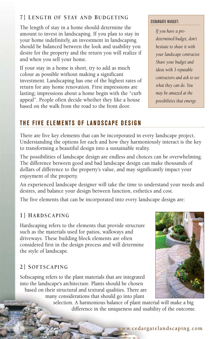#### **7] LENGTH OF STAY AND BUDGETING**

The length of stay in a home should determine the amount to invest in landscaping. If you plan to stay in your home indefinitely, an investment in landscaping should be balanced between the look and usability you desire for the property and the return you will realize if and when you sell your home.

If your stay in a home is short, try to add as much colour as possible without making a significant investment. Landscaping has one of the highest rates of return for any home renovation. First impressions are lasting; impressions about a home begin with the "curb appeal". People often decide whether they like a house based on the walk from the road to the front door.

#### CEDARGATE NUGGET:

*If you have a predetermined budget, don't hesitate to share it with your landscape contractor. Share your budget and ideas with 3 reputable contractors and ask to see what they can do. You may be amazed at the possibilities that emerge.*

# **THE FIVE ELEMENTS OF LANDSCAPE DESIGN**

There are five key elements that can be incorporated in every landscape project. Understanding the options for each and how they harmoniously interact is the key to transforming a beautiful design into a sustainable reality.

The possibilities of landscape design are endless and choices can be overwhelming. The difference between good and bad landscape design can make thousands of dollars of difference to the property's value, and may significantly impact your enjoyment of the property.

An experienced landscape designer will take the time to understand your needs and desires, and balance your design between function, esthetics and cost.

The five elements that can be incorporated into every landscape design are:

#### **1] HARDSCAPING**

Hardscaping refers to the elements that provide structure such as the materials used for patios, walkways and driveways. These building block elements are often considered first in the design process and will determine the style of landscape.

## **2] SOFTSCAPING**

Softscaping refers to the plant materials that are integrated into the landscape's architecture. Plants should be chosen based on their structural and textural qualities. There are many considerations that should go into plant



selection. A harmonious balance of plant material will make a big difference in the uniqueness and usability of the outcome.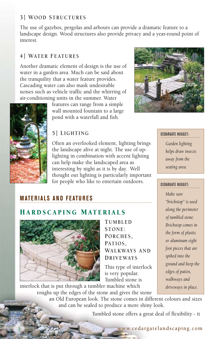#### **3] WOOD STRUCTURES**

The use of gazebos, pergolas and arbours can provide a dramatic feature to a landscape design. Wood structures also provide privacy and a year-round point of interest.

## **4] WATER FEATURES**

Another dramatic element of design is the use of water in a garden area. Much can be said about the tranquility that a water feature provides. Cascading water can also mask undesirable noises such as vehicle traffic and the whirring of air-conditioning units in the summer. Water

features can range from a simple wall mounted fountain to a large pond with a waterfall and fish.

## **5] LIGHTING**

Often an overlooked element, lighting brings the landscape alive at night. The use of uplighting in combination with accent lighting can help make the landscaped area as interesting by night as it is by day. Well thought out lighting is particularly important for people who like to entertain outdoors.



#### CEDARGATE NUGGET:

*Garden lighting helps draw insects away from the seating area.*

*"brickstop" is used along the perimeter of tumbled stone. Brickstop comes in the form of plastic or aluminum eight foot pieces that are spiked into the ground and keep the edges of patios, walkways and driveways in place.*

## CEDARGATE NUGGET: *Make sure*

# **MATERIALS AND FEATURES**

# H ARDSCAPING M ATERIALS



**TUMBLED STONE: PORCHES, PATIOS, WALKWAYS AND DRIVEWAYS**

This type of interlock is very popular. Tumbled stone is

interlock that is put through a tumbler machine which roughs up the edges of the stone and gives the stone

> an Old European look. The stone comes in different colours and sizes and can be sealed to produce a more shiny look.

> > Tumbled stone offers a great deal of flexibility - it

#### www.cedargatelandscaping.com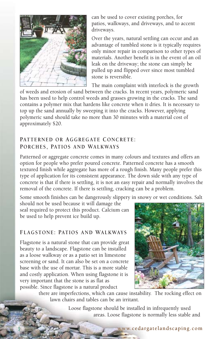

can be used to cover existing porches, for patios, walkways, and driveways, and to accent driveways.

Over the years, natural settling can occur and an advantage of tumbled stone is it typically requires only minor repair in comparison to other types of materials. Another benefit is in the event of an oil leak on the driveway; the stone can simply be pulled up and flipped over since most tumbled stone is reversible.

The main complaint with interlock is the growth

of weeds and erosion of sand between the cracks. In recent years, polymeric sand has been used to help control weeds and grasses growing in the cracks. The sand contains a polymer mix that hardens like concrete when it dries. It is necessary to top up the sand annually by sweeping it into the cracks. However, applying polymeric sand should take no more than 30 minutes with a material cost of approximately \$20.

#### **PATTERNED OR AGGREGATE CONCRETE: PORCHES, PATIOS AND WALKWAYS**

Patterned or aggregate concrete comes in many colours and textures and offers an option for people who prefer poured concrete. Patterned concrete has a smooth textured finish while aggregate has more of a rough finish. Many people prefer this type of application for its consistent appearance. The down side with any type of concrete is that if there is settling, it is not an easy repair and normally involves the removal of the concrete. If there is settling, cracking can be a problem.

Some smooth finishes can be dangerously slippery in snowy or wet conditions. Salt

should not be used because it will damage the seal required to protect this product. Calcium can be used to help prevent ice build up.

#### **FLAGSTONE: PATIOS AND WALKWAYS**

Flagstone is a natural stone that can provide great beauty to a landscape. Flagstone can be installed as a loose walkway or as a patio set in limestone screening or sand. It can also be set on a concrete base with the use of mortar. This is a more stable and costly application. When using flagstone it is very important that the stone is as flat as possible. Since flagstone is a natural product



there are imperfections, which can cause instability. The rocking effect on lawn chairs and tables can be an irritant.

> Loose flagstone should be installed in infrequently used areas. Loose flagstone is normally less stable and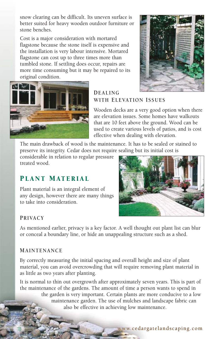snow clearing can be difficult. Its uneven surface is better suited for heavy wooden outdoor furniture or stone benches.

Cost is a major consideration with mortared flagstone because the stone itself is expensive and the installation is very labour intensive. Mortared flagstone can cost up to three times more than tumbled stone. If settling does occur, repairs are more time consuming but it may be repaired to its original condition.



## **DEALING WITH ELEVATION ISSUES**

Wooden decks are a very good option when there are elevation issues. Some homes have walkouts that are 10 feet above the ground. Wood can be used to create various levels of patios, and is cost effective when dealing with elevation.

The main drawback of wood is the maintenance. It has to be sealed or stained to preserve its integrity. Cedar does not require sealing but its initial cost is

considerable in relation to regular pressure treated wood.

# PLANT MATERIAL

Plant material is an integral element of any design, however there are many things to take into consideration.



#### **PRIVACY**

As mentioned earlier, privacy is a key factor. A well thought out plant list can blur or conceal a boundary line, or hide an unappealing structure such as a shed.

#### **MAINTENANCE**

By correctly measuring the initial spacing and overall height and size of plant material, you can avoid overcrowding that will require removing plant material in as little as two years after planting.

It is normal to thin out overgrowth after approximately seven years. This is part of the maintenance of the gardens. The amount of time a person wants to spend in the garden is very important. Certain plants are more conducive to a low maintenance garden. The use of mulches and landscape fabric can also be effective in achieving low maintenance.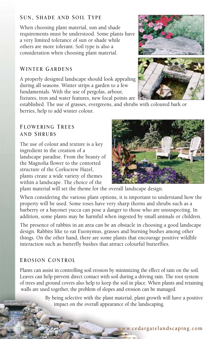#### **SUN, SHADE AND SOIL TYPE**

When choosing plant material, sun and shade requirements must be understood. Some plants have a very limited tolerance of sun or shade while others are more tolerant. Soil type is also a consideration when choosing plant material.

#### **WINTER GARDENS**

A properly designed landscape should look appealing during all seasons. Winter strips a garden to a few fundamentals. With the use of pergolas, arbour, fixtures, iron and water features, new focal points are

established. The use of grasses, evergreens, and shrubs with coloured bark or berries, help to add winter colour.

#### **FLOWERING TREES AND SHRUBS**

The use of colour and texture is a key ingredient in the creation of a landscape paradise. From the beauty of the Magnolia flower to the contorted structure of the Corkscrew Hazel, plants create a wide variety of themes within a landscape. The choice of the



plant material will set the theme for the overall landscape design.

When considering the various plant options, it is important to understand how the property will be used. Some roses have very sharp thorns and shrubs such as a barberry or a bayonet yucca can pose a danger to those who are unsuspecting. In addition, some plants may be harmful when ingested by small animals or children.

The presence of rabbits in an area can be an obstacle in choosing a good landscape design. Rabbits like to eat Euonymus, grasses and burning bushes among other things. On the other hand, there are some plants that encourage positive wildlife interaction such as butterfly bushes that attract colourful butterflies.

## **EROSION CONTROL**

Plants can assist in controlling soil erosion by minimizing the effect of rain on the soil. Leaves can help prevent direct contact with soil during a driving rain. The root system of trees and ground covers also help to keep the soil in place. When plants and retaining walls are used together, the problem of slopes and erosion can be managed.

> By being selective with the plant material, plant growth will have a positive impact on the overall appearance of the landscaping.



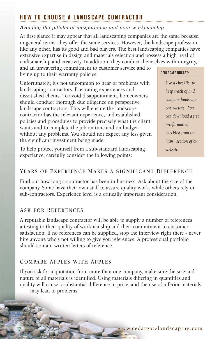# **HOW TO CHOOSE A LANDSCAPE CONTRACTOR**

#### *Avoiding the pitfalls of inexperience and poor workmanship*

At first glance it may appear that all landscaping companies are the same because, in general terms, they offer the same services. However, the landscape profession, like any other, has its good and bad players. The best landscaping companies have extensive expertise in design and materials selection and possess a high level of craftsmanship and creativity. In addition, they conduct themselves with integrity,

and an unwavering commitment to customer service and to living up to their warranty policies.

Unfortunately, it's not uncommon to hear of problems with landscaping contractors, frustrating experiences and dissatisfied clients. To avoid disappointment, homeowners should conduct thorough due diligence on perspective landscape contractors. This will ensure the landscape contractor has the relevant experience, and established policies and procedures to provide precisely what the client wants and to complete the job on time and on budget without any problems. You should not expect any less given the significant investment being made.

To help protect yourself from a sub-standard landscaping experience, carefully consider the following points:

#### CEDARGATE NUGGET:

*Use a checklist to keep track of and compare landscape contractors. You can download a free pre-formatted checklist from the "tips" section of our website.*

### **YEARS OF EXPERIENCE MAKES A SIGNIFICANT DIFFERENCE**

Find out how long a contractor has been in business. Ask about the size of the company. Some have their own staff to assure quality work, while others rely on sub-contractors. Experience level is a critically important consideration.

#### **ASK FOR REFERENCES**

A reputable landscape contractor will be able to supply a number of references attesting to their quality of workmanship and their commitment to customer satisfaction. If no references can be supplied, stop the interview right there - never hire anyone who's not willing to give you references. A professional portfolio should contain written letters of reference.

#### **COMPARE APPLES WITH APPLES**

If you ask for a quotation from more than one company, make sure the size and nature of all materials is identified. Using materials differing in quantities and quality will cause a substantial difference in price, and the use of inferior materials may lead to problems.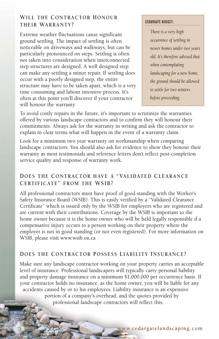## **WILL THE CONTRACTOR HONOUR THEIR WARRANTY?**

Extreme weather fluctuations cause significant ground settling. The impact of settling is often noticeable on driveways and walkways, but can be particularly pronounced on steps. Settling is often not taken into consideration when interconnected step structures are designed. A well designed step can make any settling a minor repair. If settling does occur with a poorly designed step, the entire structure may have to be taken apart, which is a very time consuming and labour intensive process. It's often at this point you'll discover if your contractor will honour the warranty.

#### CEDARGATE NUGGET:

*There is a very high occurrence of settling in newer homes under two years old. It's therefore advised that when contemplating landscaping for a new home, the ground should be allowed to settle for two winters before proceeding.* 

To avoid costly repairs in the future, it's important to scrutinize the warranties offered by various landscape contractors and to confirm they will honour their commitments. Always ask for the warranty in writing and ask the contractor to explain in clear terms what will happen in the event of a warranty claim.

Look for a minimum two year warranty on workmanship when comparing landscape contractors. You should also ask for evidence to show they honour their warranty as most testimonials and reference letters don't reflect post-completion service quality and response of warranty work.

#### **DOES THE CONTRACTOR HAVE A "VALIDATED CLEARANCE CERTIFICATE" FROM THE WSIB?**

All professional contractors must have proof of good standing with the Worker's Safety Insurance Board (WSIB). This is easily verified by a "Validated Clearance Certificate" which is issued only by the WSIB for employers who are registered and are current with their contributions. Coverage by the WSIB is important to the home owner because it is the home owner who will be held legally responsible if a compensative injury occurs to a person working on their property where the employer is not in good standing (or not even registered). For more information on WSIB, please visit www.wsib.on.ca

#### **DOES THE CONTRACTOR POSSESS LIABILITY INSURANCE?**

Make sure any landscape contractor working on your property carries an acceptable level of insurance. Professional landscapers will typically carry personal liability and property damage insurance on a minimum \$1,000,000 per occurrence basis. If your contractor holds no insurance, as the home owner, you will be liable for any accidents caused by or to his employees. Liability insurance is an expensive portion of a company's overhead, and the quotes provided by professional landscape contractors will reflect this.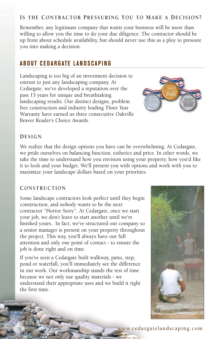#### **IS THE CONTRACTOR PRESSURING YOU TO MAKE A DECISION?**

Remember, any legitimate company that wants your business will be more than willing to allow you the time to do your due diligence. The contractor should be up front about schedule availability, but should never use this as a ploy to pressure you into making a decision.

## **ABOUT CEDARGATE LANDSCAPING**

Landscaping is too big of an investment decision to entrust to just any landscaping company. At Cedargate, we've developed a reputation over the past 15 years for unique and breathtaking landscaping results. Our distinct designs, problem free construction and industry leading Three Year Warranty have earned us three consecutive Oakville Beaver Reader's Choice Awards.



#### **DESIGN**

We realize that the design options you have can be overwhelming. At Cedargate, we pride ourselves on balancing function, esthetics and price. In other words, we take the time to understand how you envision using your property, how you'd like it to look and your budget. We'll present you with options and work with you to maximize your landscape dollars based on your priorities.

#### **CONSTRUCTION**

Some landscape contractors look perfect until they begin construction, and nobody wants to be the next contractor "Horror Story". At Cedargate, once we start your job, we don't leave to start another until we're finished yours. In fact, we've structured our company so a senior manager is present on your property throughout the project. This way, you'll always have our full attention and only one point of contact - to ensure the job is done right and on time.

If you've seen a Cedargate built walkway, patio, step, pond or waterfall, you'll immediately see the difference in our work. Our workmanship stands the test of time because we not only use quality materials - we understand their appropriate uses and we build it right the first time.



www.cedargateland scaping.com